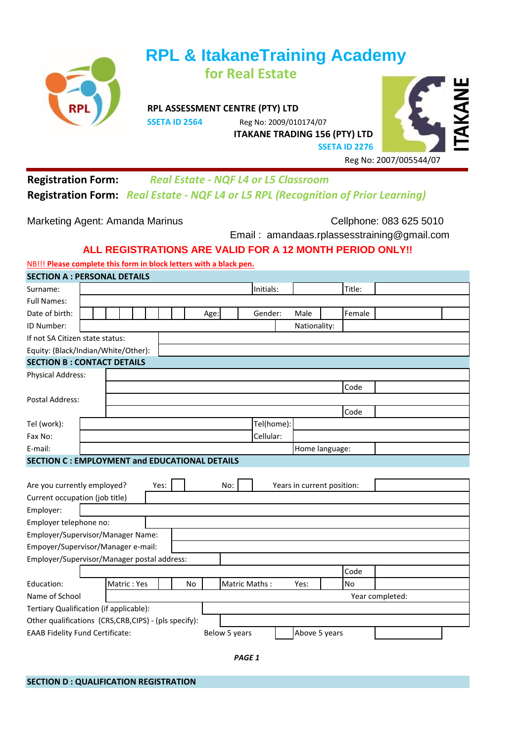

# **RPL & ItakaneTraining Academy for Real Estate**

**RPL ASSESSMENT CENTRE (PTY) LTD**

**SSETA ID 2564** Reg No: 2009/010174/07 **ITAKANE TRADING 156 (PTY) LTD**



## **Registration Form:** *Real Estate - NQF L4 or L5 Classroom*  **Registration Form:** *Real Estate - NQF L4 or L5 RPL (Recognition of Prior Learning)*

Marketing Agent: Amanda Marinus **Cellphone: 083 625 5010** 

Email : amandaas.rplassesstraining@gmail.com

### **ALL REGISTRATIONS ARE VALID FOR A 12 MONTH PERIOD ONLY!!**

NB!!! **Please complete this form in block letters with a black pen. SECTION A : PERSONAL DETAILS**

| SECTION A : PERSONAL DETAILS                         |                                                                          |  |      |           |      |               |            |                            |        |  |  |
|------------------------------------------------------|--------------------------------------------------------------------------|--|------|-----------|------|---------------|------------|----------------------------|--------|--|--|
| Surname:                                             |                                                                          |  |      |           |      |               | Initials:  |                            | Title: |  |  |
| <b>Full Names:</b>                                   |                                                                          |  |      |           |      |               |            |                            |        |  |  |
| Date of birth:                                       |                                                                          |  |      |           | Age: |               | Gender:    | Male                       | Female |  |  |
| ID Number:                                           |                                                                          |  |      |           |      |               |            | Nationality:               |        |  |  |
| If not SA Citizen state status:                      |                                                                          |  |      |           |      |               |            |                            |        |  |  |
| Equity: (Black/Indian/White/Other):                  |                                                                          |  |      |           |      |               |            |                            |        |  |  |
| <b>SECTION B: CONTACT DETAILS</b>                    |                                                                          |  |      |           |      |               |            |                            |        |  |  |
| <b>Physical Address:</b>                             |                                                                          |  |      |           |      |               |            |                            |        |  |  |
|                                                      |                                                                          |  |      |           |      |               |            |                            | Code   |  |  |
| Postal Address:                                      |                                                                          |  |      |           |      |               |            |                            |        |  |  |
|                                                      |                                                                          |  |      |           |      |               |            |                            | Code   |  |  |
| Tel (work):                                          |                                                                          |  |      |           |      |               | Tel(home): |                            |        |  |  |
| Fax No:                                              |                                                                          |  |      |           |      |               | Cellular:  |                            |        |  |  |
| E-mail:                                              |                                                                          |  |      |           |      |               |            | Home language:             |        |  |  |
| <b>SECTION C: EMPLOYMENT and EDUCATIONAL DETAILS</b> |                                                                          |  |      |           |      |               |            |                            |        |  |  |
|                                                      |                                                                          |  |      |           |      |               |            |                            |        |  |  |
| Are you currently employed?                          |                                                                          |  | Yes: |           | No:  |               |            | Years in current position: |        |  |  |
| Current occupation (job title)                       |                                                                          |  |      |           |      |               |            |                            |        |  |  |
| Employer:                                            |                                                                          |  |      |           |      |               |            |                            |        |  |  |
| Employer telephone no:                               |                                                                          |  |      |           |      |               |            |                            |        |  |  |
| Employer/Supervisor/Manager Name:                    |                                                                          |  |      |           |      |               |            |                            |        |  |  |
| Empoyer/Supervisor/Manager e-mail:                   |                                                                          |  |      |           |      |               |            |                            |        |  |  |
| Employer/Supervisor/Manager postal address:          |                                                                          |  |      |           |      |               |            |                            |        |  |  |
|                                                      |                                                                          |  |      |           |      |               |            |                            | Code   |  |  |
| Education:                                           | Matric: Yes                                                              |  |      | <b>No</b> |      | Matric Maths: |            | Yes:                       | No     |  |  |
| Name of School                                       |                                                                          |  |      |           |      |               |            | Year completed:            |        |  |  |
| Tertiary Qualification (if applicable):              |                                                                          |  |      |           |      |               |            |                            |        |  |  |
| Other qualifications (CRS,CRB,CIPS) - (pls specify): |                                                                          |  |      |           |      |               |            |                            |        |  |  |
|                                                      | <b>EAAB Fidelity Fund Certificate:</b><br>Below 5 years<br>Above 5 years |  |      |           |      |               |            |                            |        |  |  |
|                                                      |                                                                          |  |      |           |      |               |            |                            |        |  |  |

*PAGE 1*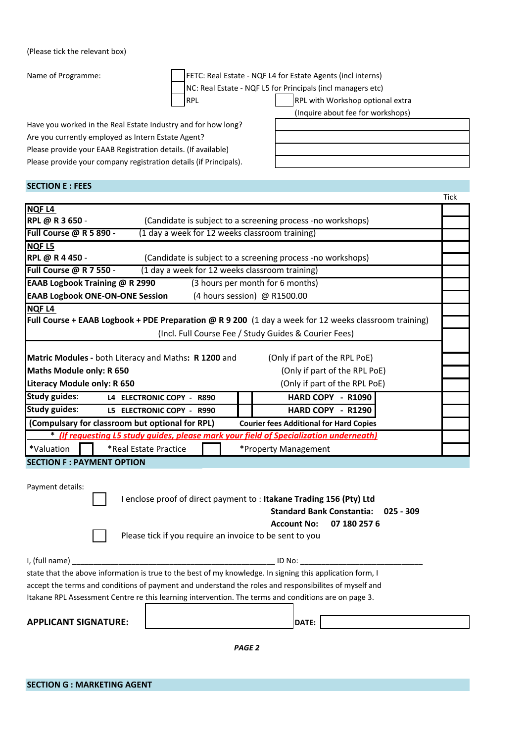#### (Please tick the relevant box)

Name of Programme: FETC: Real Estate - NQF L4 for Estate Agents (incl interns) QF L5 for Principals (incl managers etc)

 $\overline{\Gamma}$ 

|  | NC: Real Estate - NO |  |
|--|----------------------|--|
|  |                      |  |

RPL RPL RPL With Workshop optional extra (Inquire about fee for workshops)

Have you worked in the Real Estate Industry and for how long? Are you currently employed as Intern Estate Agent? Please provide your EAAB Registration details. (If available) Please provide your company registration details (if Principals).

| <b>SECTION E : FEES</b>                                                                           |                                                                                                       |      |  |  |  |  |  |
|---------------------------------------------------------------------------------------------------|-------------------------------------------------------------------------------------------------------|------|--|--|--|--|--|
|                                                                                                   |                                                                                                       | Tick |  |  |  |  |  |
| <b>NQFL4</b>                                                                                      |                                                                                                       |      |  |  |  |  |  |
| RPL @ R 3 650 -                                                                                   | (Candidate is subject to a screening process -no workshops)                                           |      |  |  |  |  |  |
| Full Course @ R 5 890 -<br>(1 day a week for 12 weeks classroom training)                         |                                                                                                       |      |  |  |  |  |  |
| <b>NQFL5</b>                                                                                      |                                                                                                       |      |  |  |  |  |  |
| RPL @ R 4 450 -                                                                                   | (Candidate is subject to a screening process -no workshops)                                           |      |  |  |  |  |  |
| <b>Full Course @ R 7 550 -</b>                                                                    | (1 day a week for 12 weeks classroom training)                                                        |      |  |  |  |  |  |
| EAAB Logbook Training @ R 2990                                                                    | (3 hours per month for 6 months)                                                                      |      |  |  |  |  |  |
| <b>EAAB Logbook ONE-ON-ONE Session</b>                                                            | (4 hours session) @ R1500.00                                                                          |      |  |  |  |  |  |
| NQF L4                                                                                            |                                                                                                       |      |  |  |  |  |  |
|                                                                                                   | Full Course + EAAB Logbook + PDE Preparation @ R 9 200 (1 day a week for 12 weeks classroom training) |      |  |  |  |  |  |
|                                                                                                   | (Incl. Full Course Fee / Study Guides & Courier Fees)                                                 |      |  |  |  |  |  |
|                                                                                                   |                                                                                                       |      |  |  |  |  |  |
| Matric Modules - both Literacy and Maths: R 1200 and                                              | (Only if part of the RPL PoE)                                                                         |      |  |  |  |  |  |
| Maths Module only: R 650                                                                          | (Only if part of the RPL PoE)                                                                         |      |  |  |  |  |  |
| Literacy Module only: R 650                                                                       | (Only if part of the RPL PoE)                                                                         |      |  |  |  |  |  |
| <b>Study guides:</b><br>L4 ELECTRONIC COPY - R890                                                 | HARD COPY - R1090                                                                                     |      |  |  |  |  |  |
| <b>Study guides:</b><br>HARD COPY - R1290<br>L5 ELECTRONIC COPY - R990                            |                                                                                                       |      |  |  |  |  |  |
| (Compulsary for classroom but optional for RPL)<br><b>Courier fees Additional for Hard Copies</b> |                                                                                                       |      |  |  |  |  |  |
| * (If requesting L5 study guides, please mark your field of Specialization underneath)            |                                                                                                       |      |  |  |  |  |  |
| *Valuation<br>*Real Estate Practice                                                               | *Property Management                                                                                  |      |  |  |  |  |  |
| <b>SECTION F : PAYMENT OPTION</b>                                                                 |                                                                                                       |      |  |  |  |  |  |

| Payment details: |  |
|------------------|--|
|------------------|--|

| I enclose proof of direct payment to : Itakane Trading 156 (Pty) Ltd |                                     |  |  |  |  |
|----------------------------------------------------------------------|-------------------------------------|--|--|--|--|
|                                                                      | Standard Bank Constantia: 025 - 309 |  |  |  |  |
|                                                                      | Account No: 07 180 257 6            |  |  |  |  |
| Please tick if you require an invoice to be sent to you              |                                     |  |  |  |  |

| I, (full name)                                                                                            | ID No: |  |  |  |  |
|-----------------------------------------------------------------------------------------------------------|--------|--|--|--|--|
| state that the above information is true to the best of my knowledge. In signing this application form, I |        |  |  |  |  |
| accept the terms and conditions of payment and understand the roles and responsibilites of myself and     |        |  |  |  |  |
| Itakane RPL Assessment Centre re this learning intervention. The terms and conditions are on page 3.      |        |  |  |  |  |
|                                                                                                           |        |  |  |  |  |

| E |  |  |  |
|---|--|--|--|

*PAGE 2*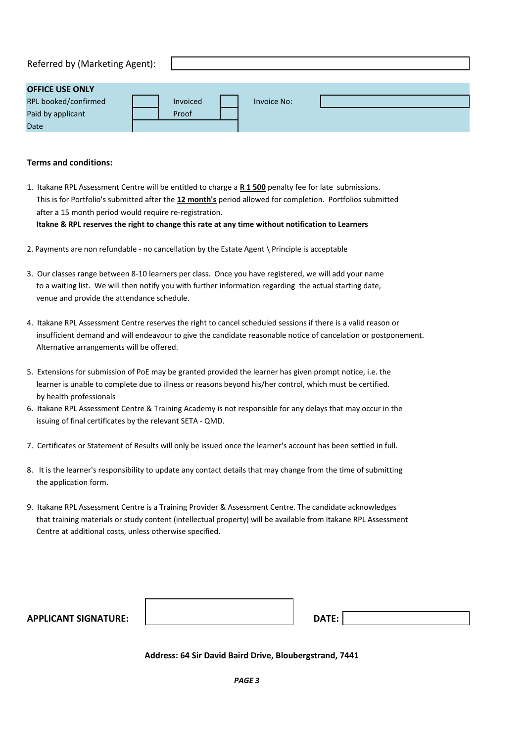| Referred by (Marketing Agent): |          |             |  |
|--------------------------------|----------|-------------|--|
| <b>OFFICE USE ONLY</b>         |          |             |  |
| RPL hooked/confirmed           | Invoiced | Invoice No: |  |

| <b>REL DOORED/CONNITIED</b> | <b>IIIVOILEU</b> | <b>INVOICE NO.</b> |  |
|-----------------------------|------------------|--------------------|--|
| Paid by applicant           | Proof            |                    |  |
| Date                        |                  |                    |  |
|                             |                  |                    |  |

#### **Terms and conditions:**

- 1. Itakane RPL Assessment Centre will be entitled to charge a **R 1 500** penalty fee for late submissions. This is for Portfolio's submitted after the **12 month's** period allowed for completion. Portfolios submitted after a 15 month period would require re-registration.  **Itakne & RPL reserves the right to change this rate at any time without notification to Learners**
- 2. Payments are non refundable no cancellation by the Estate Agent \ Principle is acceptable
- 3. Our classes range between 8-10 learners per class. Once you have registered, we will add your name to a waiting list. We will then notify you with further information regarding the actual starting date, venue and provide the attendance schedule.
- 4. Itakane RPL Assessment Centre reserves the right to cancel scheduled sessions if there is a valid reason or insufficient demand and will endeavour to give the candidate reasonable notice of cancelation or postponement. Alternative arrangements will be offered.
- 5. Extensions for submission of PoE may be granted provided the learner has given prompt notice, i.e. the learner is unable to complete due to illness or reasons beyond his/her control, which must be certified. by health professionals
- 6. Itakane RPL Assessment Centre & Training Academy is not responsible for any delays that may occur in the issuing of final certificates by the relevant SETA - QMD.
- 7. Certificates or Statement of Results will only be issued once the learner's account has been settled in full.
- 8. It is the learner's responsibility to update any contact details that may change from the time of submitting the application form.
- 9. Itakane RPL Assessment Centre is a Training Provider & Assessment Centre. The candidate acknowledges that training materials or study content (intellectual property) will be available from Itakane RPL Assessment Centre at additional costs, unless otherwise specified.

| <b>APPLICANT SIGNATURE:</b> | DATE: |  |
|-----------------------------|-------|--|
|                             |       |  |

 **Address: 64 Sir David Baird Drive, Bloubergstrand, 7441**